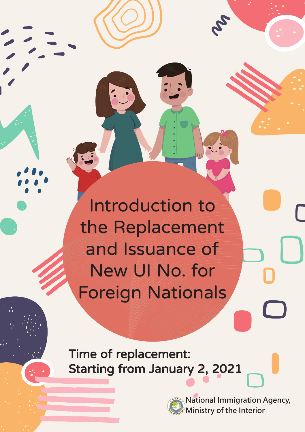Introduction to the Replacement and Issuance of New UI No. for Foreign Nationals

Time of replacement: Starting from January 2, 2021



**National Immigration Agency, Ministry of the Interior**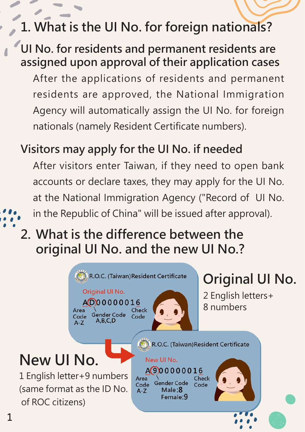## **1. What is the UI No. for foreign nationals?**

#### **UI No. for residents and permanent residents are assigned upon approval of their application cases**

After the applications of residents and permanent residents are approved, the National Immigration Agency will automatically assign the UI No. for foreign nationals (namely Resident Certificate numbers).

#### **Visitors may apply for the UI No. if needed**

After visitors enter Taiwan, if they need to open bank accounts or declare taxes, they may apply for the UI No. at the National Immigration Agency ("Record of UI No.

#### in the Republic of China" will be issued after approval).

### **2. What is the difference between the original UI No. and the new UI No.?**

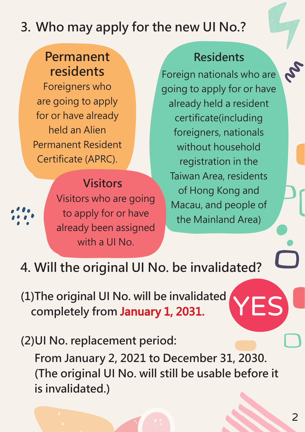## **3. Who may apply for the new UI No.?**

#### **Permanent residents**

Foreigners who are going to apply for or have already held an Alien Permanent Resident Certificate (APRC).

## **Visitors**

Visitors who are going to apply for or have already been assigned with a UI No.

#### **Residents**

Foreign nationals who are going to apply for or have already held a resident certificate(including foreigners, nationals without household registration in the Taiwan Area, residents of Hong Kong and Macau, and people of the Mainland Area)

## **4. Will the original UI No. be invalidated?**

**(1)The original UI No. will be invalidated completely from January 1, 2031.**

**(2)UI No. replacement period: From January 2, 2021 to December 31, 2030. (The original UI No. will still be usable before it is invalidated.)**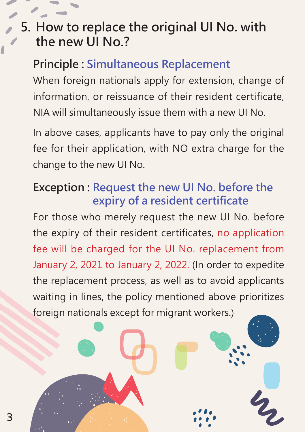## **5. How to replace the original UI No. with the new UI No.?**

#### **Principle : Simultaneous Replacement**

When foreign nationals apply for extension, change of information, or reissuance of their resident certificate, NIA will simultaneously issue them with a new UI No.

In above cases, applicants have to pay only the original fee for their application, with NO extra charge for the change to the new UI No.

#### **Exception : Request the new UI No. before the expiry of a resident certificate**

For those who merely request the new UI No. before the expiry of their resident certificates, no application fee will be charged for the UI No. replacement from January 2, 2021 to January 2, 2022. (In order to expedite the replacement process, as well as to avoid applicants waiting in lines, the policy mentioned above prioritizes foreign nationals except for migrant workers.)

 $\mathcal{L}_\mathbf{z}$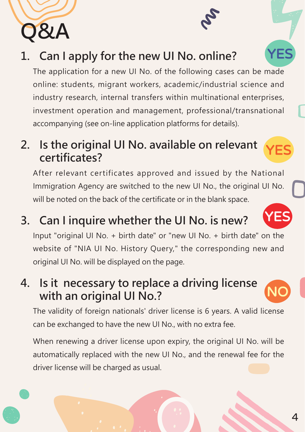### **1. Can I apply for the new UI No. online?**

The application for a new UI No. of the following cases can be made online: students, migrant workers, academic/industrial science and industry research, internal transfers within multinational enterprises, investment operation and management, professional/transnational accompanying (see on-line application platforms for details).

#### **2. Is the original UI No. available on relevant certificates?**

After relevant certificates approved and issued by the National Immigration Agency are switched to the new UI No., the original UI No. will be noted on the back of the certificate or in the blank space.

**3. Can I inquire whether the UI No. is new?**

Input "original UI No. + birth date" or "new UI No. + birth date" on the website of "NIA UI No. History Query," the corresponding new and original UI No. will be displayed on the page.

#### **4. Is it necessary to replace a driving license with an original UI No.?**

The validity of foreign nationals' driver license is 6 years. A valid license can be exchanged to have the new UI No., with no extra fee.

When renewing a driver license upon expiry, the original UI No. will be automatically replaced with the new UI No., and the renewal fee for the driver license will be charged as usual.





NO



YES

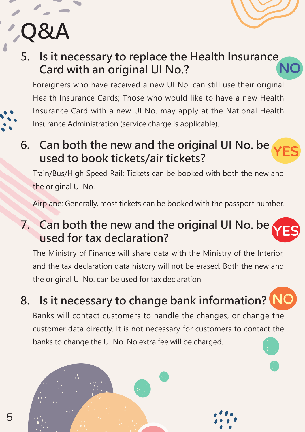# **Q&A**

#### **5. Is it necessary to replace the Health Insurance Card with an original UI No.?** NO

Foreigners who have received a new UI No. can still use their original Health Insurance Cards; Those who would like to have a new Health Insurance Card with a new UI No. may apply at the National Health Insurance Administration (service charge is applicable).

#### **6. Can both the new and the original UI No. be used to book tickets/air tickets?** YES

Train/Bus/High Speed Rail: Tickets can be booked with both the new and the original UI No.

Airplane: Generally, most tickets can be booked with the passport number.

#### **7. Can both the new and the original UI No. be used for tax declaration?** YES

The Ministry of Finance will share data with the Ministry of the Interior, and the tax declaration data history will not be erased. Both the new and the original UI No. can be used for tax declaration.

**8. Is it necessary to change bank information?** NO

Banks will contact customers to handle the changes, or change the customer data directly. It is not necessary for customers to contact the banks to change the UI No. No extra fee will be charged.



5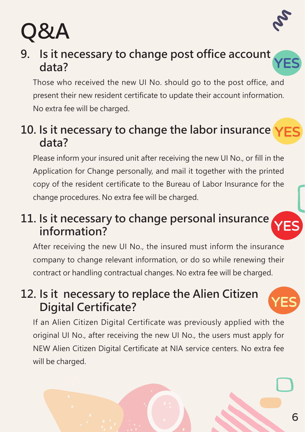

# **Q&A**

#### **9. Is it necessary to change post office account data?** data? VES

Those who received the new UI No. should go to the post office, and present their new resident certificate to update their account information. No extra fee will be charged.

### **10. Is it necessary to change the labor insurance**  YES **data?**

Please inform your insured unit after receiving the new UI No., or fill in the Application for Change personally, and mail it together with the printed copy of the resident certificate to the Bureau of Labor Insurance for the change procedures. No extra fee will be charged.

#### **11. Is it necessary to change personal insurance information?**

After receiving the new UI No., the insured must inform the insurance company to change relevant information, or do so while renewing their contract or handling contractual changes. No extra fee will be charged.

#### **12. Is it necessary to replace the Alien Citizen Digital Certificate?**

If an Alien Citizen Digital Certificate was previously applied with the original UI No., after receiving the new UI No., the users must apply for NEW Alien Citizen Digital Certificate at NIA service centers. No extra fee will be charged.